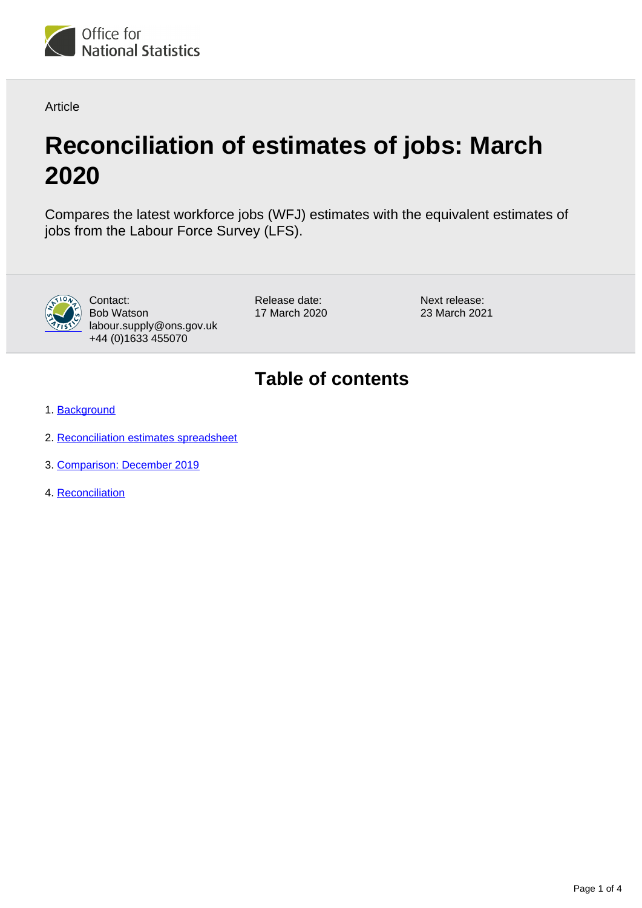

Article

# **Reconciliation of estimates of jobs: March 2020**

Compares the latest workforce jobs (WFJ) estimates with the equivalent estimates of jobs from the Labour Force Survey (LFS).



Contact: Bob Watson labour.supply@ons.gov.uk +44 (0)1633 455070

Release date: 17 March 2020 Next release: 23 March 2021

## **Table of contents**

- 1. [Background](#page-1-0)
- 2. [Reconciliation estimates spreadsheet](#page-1-1)
- 3. [Comparison: December 2019](#page-1-2)
- 4. [Reconciliation](#page-2-0)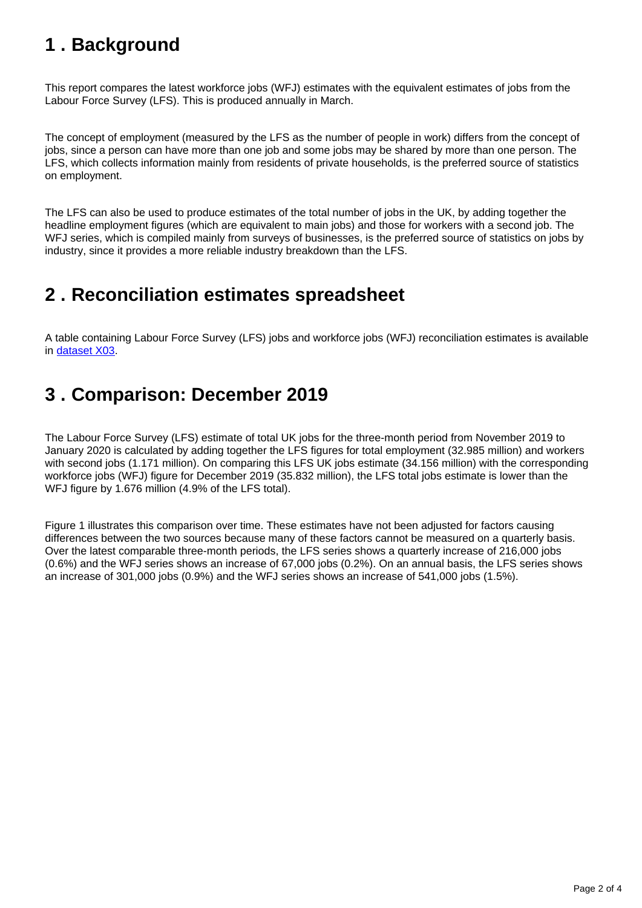## <span id="page-1-0"></span>**1 . Background**

This report compares the latest workforce jobs (WFJ) estimates with the equivalent estimates of jobs from the Labour Force Survey (LFS). This is produced annually in March.

The concept of employment (measured by the LFS as the number of people in work) differs from the concept of jobs, since a person can have more than one job and some jobs may be shared by more than one person. The LFS, which collects information mainly from residents of private households, is the preferred source of statistics on employment.

The LFS can also be used to produce estimates of the total number of jobs in the UK, by adding together the headline employment figures (which are equivalent to main jobs) and those for workers with a second job. The WFJ series, which is compiled mainly from surveys of businesses, is the preferred source of statistics on jobs by industry, since it provides a more reliable industry breakdown than the LFS.

## <span id="page-1-1"></span>**2 . Reconciliation estimates spreadsheet**

A table containing Labour Force Survey (LFS) jobs and workforce jobs (WFJ) reconciliation estimates is available in [dataset X03.](https://www.ons.gov.uk/employmentandlabourmarket/peopleinwork/employmentandemployeetypes/datasets/reconciliationofestimatesofemploymentandjobsx03)

## <span id="page-1-2"></span>**3 . Comparison: December 2019**

The Labour Force Survey (LFS) estimate of total UK jobs for the three-month period from November 2019 to January 2020 is calculated by adding together the LFS figures for total employment (32.985 million) and workers with second jobs (1.171 million). On comparing this LFS UK jobs estimate (34.156 million) with the corresponding workforce jobs (WFJ) figure for December 2019 (35.832 million), the LFS total jobs estimate is lower than the WFJ figure by 1.676 million (4.9% of the LFS total).

Figure 1 illustrates this comparison over time. These estimates have not been adjusted for factors causing differences between the two sources because many of these factors cannot be measured on a quarterly basis. Over the latest comparable three-month periods, the LFS series shows a quarterly increase of 216,000 jobs (0.6%) and the WFJ series shows an increase of 67,000 jobs (0.2%). On an annual basis, the LFS series shows an increase of 301,000 jobs (0.9%) and the WFJ series shows an increase of 541,000 jobs (1.5%).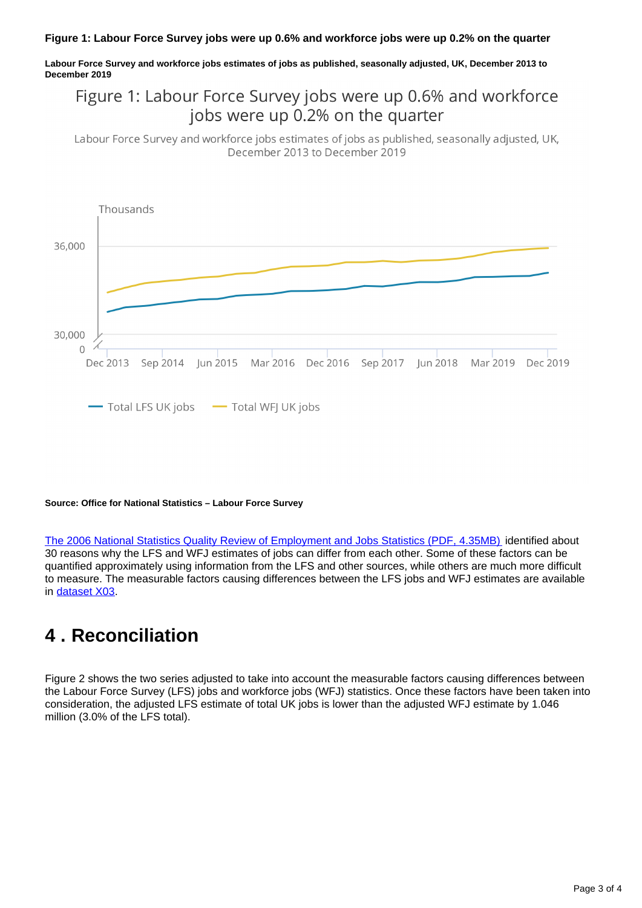#### **Figure 1: Labour Force Survey jobs were up 0.6% and workforce jobs were up 0.2% on the quarter**

**Labour Force Survey and workforce jobs estimates of jobs as published, seasonally adjusted, UK, December 2013 to December 2019**

### Figure 1: Labour Force Survey jobs were up 0.6% and workforce jobs were up 0.2% on the quarter

Labour Force Survey and workforce jobs estimates of jobs as published, seasonally adjusted, UK, December 2013 to December 2019



#### **Source: Office for National Statistics – Labour Force Survey**

[The 2006 National Statistics Quality Review of Employment and Jobs Statistics \(PDF, 4.35MB\)](http://www.ons.gov.uk/ons/guide-method/method-quality/quality/quality-reviews/theme/labour-market/nsqr-44/nsqr-series-report-no--44--review-of-employment-and-jobs-statistics-.pdf) identified about 30 reasons why the LFS and WFJ estimates of jobs can differ from each other. Some of these factors can be quantified approximately using information from the LFS and other sources, while others are much more difficult to measure. The measurable factors causing differences between the LFS jobs and WFJ estimates are available in [dataset X03.](https://www.ons.gov.uk/employmentandlabourmarket/peopleinwork/employmentandemployeetypes/datasets/reconciliationofestimatesofemploymentandjobsx03)

### <span id="page-2-0"></span>**4 . Reconciliation**

Figure 2 shows the two series adjusted to take into account the measurable factors causing differences between the Labour Force Survey (LFS) jobs and workforce jobs (WFJ) statistics. Once these factors have been taken into consideration, the adjusted LFS estimate of total UK jobs is lower than the adjusted WFJ estimate by 1.046 million (3.0% of the LFS total).